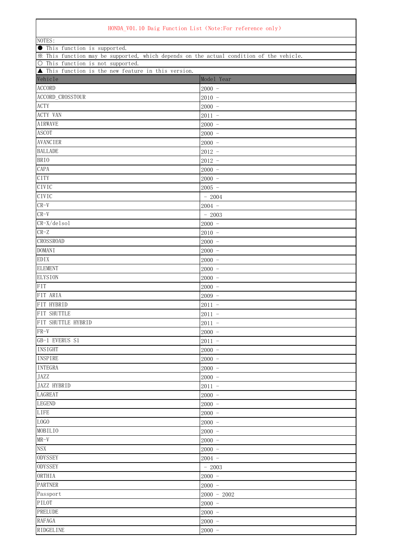## HONDA\_V01.10 Daig Function List (Note:For reference only)

| NOTES:                                                                                                                       |               |  |
|------------------------------------------------------------------------------------------------------------------------------|---------------|--|
| <b>•</b> This function is supported.                                                                                         |               |  |
| * This function may be supported, which depends on the actual condition of the vehicle.<br>O This function is not supported. |               |  |
| ▲ This function is the new feature in this version.                                                                          |               |  |
| Vehicle                                                                                                                      | Model Year    |  |
| <b>ACCORD</b>                                                                                                                | $2000 -$      |  |
| ACCORD_CROSSTOUR                                                                                                             | $2010 -$      |  |
| <b>ACTY</b>                                                                                                                  | $2000 -$      |  |
| <b>ACTY VAN</b>                                                                                                              | $2011 -$      |  |
| <b>AIRWAVE</b>                                                                                                               | $2000 -$      |  |
| <b>ASCOT</b>                                                                                                                 | $2000 -$      |  |
| <b>AVANCIER</b>                                                                                                              | $2000 -$      |  |
| <b>BALLADE</b>                                                                                                               | $2012 -$      |  |
| <b>BRIO</b>                                                                                                                  | $2012 -$      |  |
| CAPA                                                                                                                         | $2000 -$      |  |
| <b>CITY</b>                                                                                                                  | $2000 -$      |  |
| CIVIC                                                                                                                        | $2005 -$      |  |
| CIVIC                                                                                                                        | $-2004$       |  |
| $CR-V$                                                                                                                       | $2004 -$      |  |
| $CR-V$                                                                                                                       | $-2003$       |  |
| $CR-X/delsol$                                                                                                                | $2000 -$      |  |
| $CR-Z$                                                                                                                       | $2010 -$      |  |
| <b>CROSSROAD</b>                                                                                                             | $2000 -$      |  |
| <b>DOMANI</b>                                                                                                                | $2000 -$      |  |
| <b>EDIX</b>                                                                                                                  | $2000 -$      |  |
| <b>ELEMENT</b>                                                                                                               | $2000 -$      |  |
| <b>ELYSION</b>                                                                                                               | $2000 -$      |  |
| <b>FIT</b>                                                                                                                   | $2000 -$      |  |
| FIT ARIA                                                                                                                     | $2009 -$      |  |
| FIT HYBRID                                                                                                                   | $2011 -$      |  |
| FIT SHUTTLE                                                                                                                  | $2011 -$      |  |
| FIT SHUTTLE HYBRID                                                                                                           | $2011 -$      |  |
| $FR-V$                                                                                                                       | $2000 -$      |  |
| GB-1 EVERUS S1                                                                                                               | $2011 -$      |  |
| INSIGHT                                                                                                                      | $2000 -$      |  |
| <b>INSPIRE</b>                                                                                                               | $2000 -$      |  |
| <b>INTEGRA</b>                                                                                                               | $2000 -$      |  |
| JAZZ                                                                                                                         | $2000 -$      |  |
| JAZZ HYBRID                                                                                                                  | $2011 -$      |  |
| LAGREAT                                                                                                                      | $2000 -$      |  |
| <b>LEGEND</b>                                                                                                                | $2000 -$      |  |
| <b>LIFE</b>                                                                                                                  | $2000 -$      |  |
| LOGO                                                                                                                         | $2000 -$      |  |
| MOBILIO                                                                                                                      | $2000 -$      |  |
| $MR-\overline{V}$                                                                                                            | $2000 -$      |  |
| <b>NSX</b>                                                                                                                   | $2000 -$      |  |
| <b>ODYSSEY</b>                                                                                                               | $2004 -$      |  |
| <b>ODYSSEY</b>                                                                                                               | $-2003$       |  |
| ORTHIA                                                                                                                       | $2000 -$      |  |
| <b>PARTNER</b>                                                                                                               | $2000 -$      |  |
| Passport                                                                                                                     | $2000 - 2002$ |  |
| PILOT                                                                                                                        | $2000 -$      |  |
| PRELUDE                                                                                                                      | $2000 -$      |  |
| <b>RAFAGA</b>                                                                                                                | $2000 -$      |  |
| RIDGELINE                                                                                                                    | $2000 -$      |  |